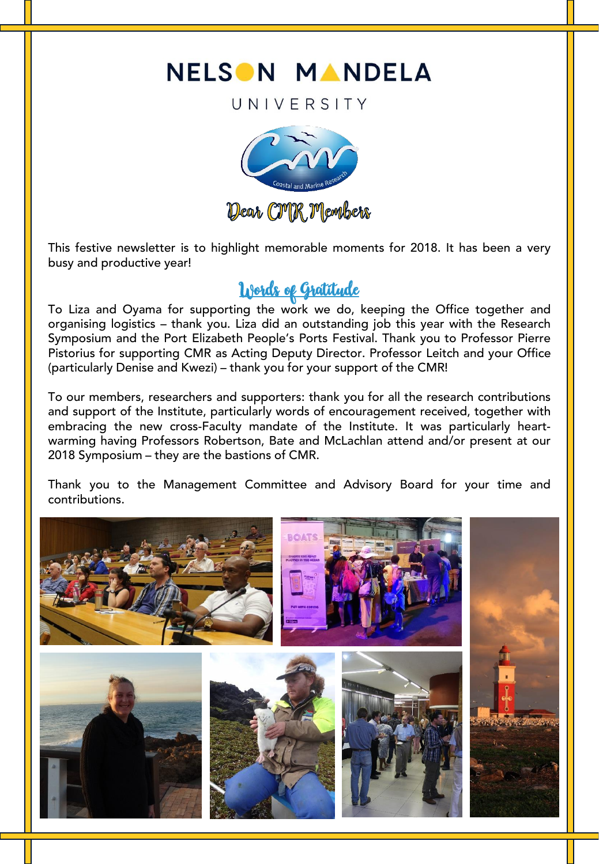

UNIVERSITY



This festive newsletter is to highlight memorable moments for 2018. It has been a very busy and productive year!

**To Liza and Oyama for supporting the work we do, keeping the Office together and** organising logistics – thank you. Liza did an outstanding job this year with the Research Symposium and the Port Elizabeth People's Ports Festival. Thank you to Professor Pierre Pistorius for supporting CMR as Acting Deputy Director. Professor Leitch and your Office (particularly Denise and Kwezi) – thank you for your support of the CMR!

To our members, researchers and supporters: thank you for all the research contributions and support of the Institute, particularly words of encouragement received, together with embracing the new cross-Faculty mandate of the Institute. It was particularly heartwarming having Professors Robertson, Bate and McLachlan attend and/or present at our 2018 Symposium – they are the bastions of CMR.

Thank you to the Management Committee and Advisory Board for your time and contributions.

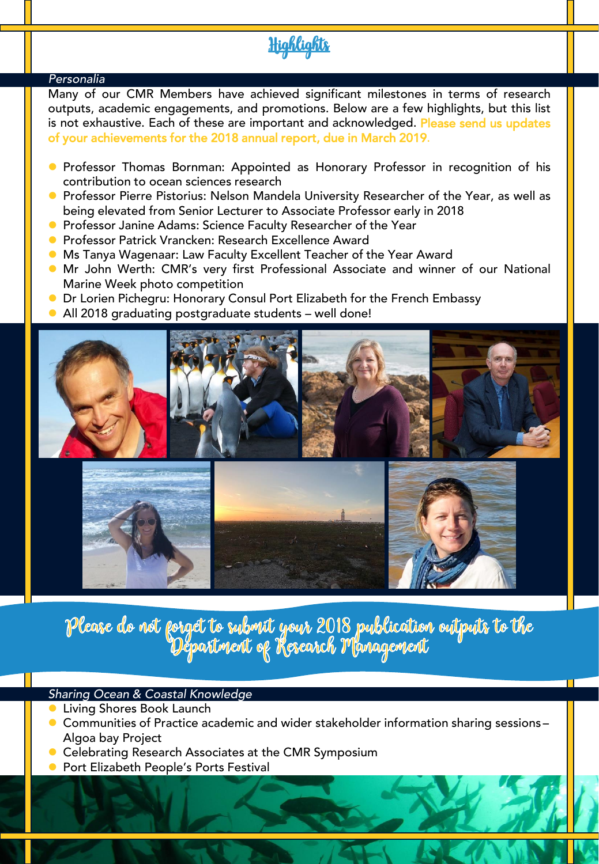# <u>Highlights</u>

### *Personalia*

Many of our CMR Members have achieved significant milestones in terms of research outputs, academic engagements, and promotions. Below are a few highlights, but this list is not exhaustive. Each of these are important and acknowledged. Please send us updates of your achievements for the 2018 annual report, due in March 2019.

- Professor Thomas Bornman: Appointed as Honorary Professor in recognition of his contribution to ocean sciences research
- **•** Professor Pierre Pistorius: Nelson Mandela University Researcher of the Year, as well as being elevated from Senior Lecturer to Associate Professor early in 2018
- **Professor Janine Adams: Science Faculty Researcher of the Year**
- **Professor Patrick Vrancken: Research Excellence Award**
- Ms Tanya Wagenaar: Law Faculty Excellent Teacher of the Year Award
- Mr John Werth: CMR's very first Professional Associate and winner of our National Marine Week photo competition
- **O** Dr Lorien Pichegru: Honorary Consul Port Elizabeth for the French Embassy
- All 2018 graduating postgraduate students well done!





Please do not forget to subout your 2018 publication outputs to the<br>Department of Research Management

### *Sharing Ocean & Coastal Knowledge*

- Living Shores Book Launch
- Communities of Practice academic and wider stakeholder information sharing sessions Algoa bay Project
- **Celebrating Research Associates at the CMR Symposium**
- Port Elizabeth People's Ports Festival